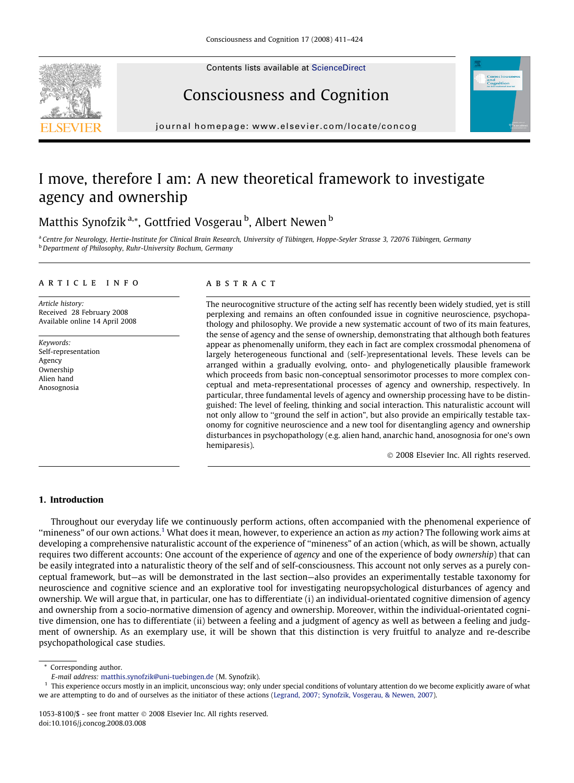Contents lists available at [ScienceDirect](http://www.sciencedirect.com/science/journal/10538100)





# Consciousness and Cognition

journal homepage: www.elsevier.com/locate/concog

# I move, therefore I am: A new theoretical framework to investigate agency and ownership

# Matthis Synofzik <sup>a,</sup>\*, Gottfried Vosgerau <sup>b</sup>, Albert Newen <sup>b</sup>

a Centre for Neurology, Hertie-Institute for Clinical Brain Research, University of Tübingen, Hoppe-Seyler Strasse 3, 72076 Tübingen, Germany b Department of Philosophy, Ruhr-University Bochum, Germany

#### a r t i c l e i n f o

Article history: Received 28 February 2008 Available online 14 April 2008

Keywords: Self-representation Agency Ownership Alien hand Anosognosia

# A R S T R A C T

The neurocognitive structure of the acting self has recently been widely studied, yet is still perplexing and remains an often confounded issue in cognitive neuroscience, psychopathology and philosophy. We provide a new systematic account of two of its main features, the sense of agency and the sense of ownership, demonstrating that although both features appear as phenomenally uniform, they each in fact are complex crossmodal phenomena of largely heterogeneous functional and (self-)representational levels. These levels can be arranged within a gradually evolving, onto- and phylogenetically plausible framework which proceeds from basic non-conceptual sensorimotor processes to more complex conceptual and meta-representational processes of agency and ownership, respectively. In particular, three fundamental levels of agency and ownership processing have to be distinguished: The level of feeling, thinking and social interaction. This naturalistic account will not only allow to "ground the self in action", but also provide an empirically testable taxonomy for cognitive neuroscience and a new tool for disentangling agency and ownership disturbances in psychopathology (e.g. alien hand, anarchic hand, anosognosia for one's own hemiparesis).

 $©$  2008 Elsevier Inc. All rights reserved.

# 1. Introduction

Throughout our everyday life we continuously perform actions, often accompanied with the phenomenal experience of "mineness" of our own actions.<sup>1</sup> What does it mean, however, to experience an action as my action? The following work aims at developing a comprehensive naturalistic account of the experience of ''mineness" of an action (which, as will be shown, actually requires two different accounts: One account of the experience of agency and one of the experience of body ownership) that can be easily integrated into a naturalistic theory of the self and of self-consciousness. This account not only serves as a purely conceptual framework, but—as will be demonstrated in the last section—also provides an experimentally testable taxonomy for neuroscience and cognitive science and an explorative tool for investigating neuropsychological disturbances of agency and ownership. We will argue that, in particular, one has to differentiate (i) an individual-orientated cognitive dimension of agency and ownership from a socio-normative dimension of agency and ownership. Moreover, within the individual-orientated cognitive dimension, one has to differentiate (ii) between a feeling and a judgment of agency as well as between a feeling and judgment of ownership. As an exemplary use, it will be shown that this distinction is very fruitful to analyze and re-describe psychopathological case studies.

<sup>1</sup> This experience occurs mostly in an implicit, unconscious way; only under special conditions of voluntary attention do we become explicitly aware of what we are attempting to do and of ourselves as the initiator of these actions ([Legrand, 2007; Synofzik, Vosgerau, & Newen, 2007](#page-12-0)).

<sup>\*</sup> Corresponding author.

E-mail address: [matthis.synofzik@uni-tuebingen.de](mailto:matthis.synofzik@uni-tuebingen.de) (M. Synofzik).

<span id="page-0-0"></span><sup>1053-8100/\$ -</sup> see front matter @ 2008 Elsevier Inc. All rights reserved. doi:10.1016/j.concog.2008.03.008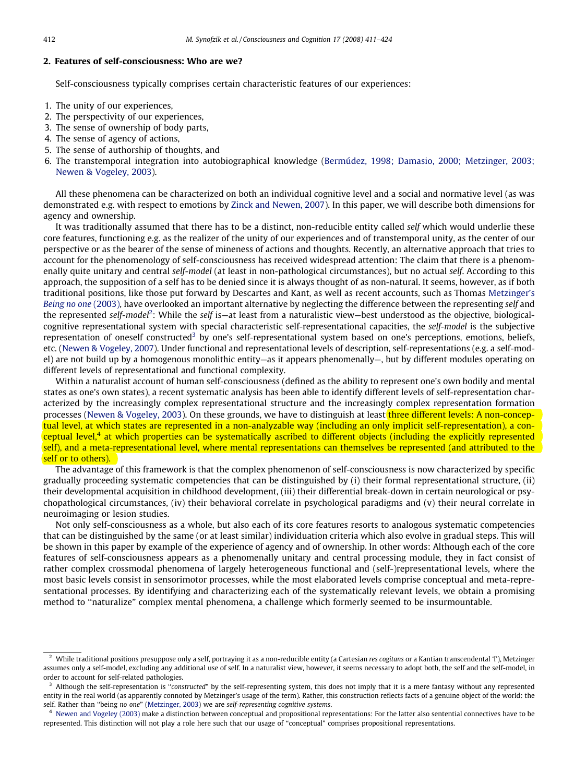#### 2. Features of self-consciousness: Who are we?

Self-consciousness typically comprises certain characteristic features of our experiences:

- 1. The unity of our experiences,
- 2. The perspectivity of our experiences,
- 3. The sense of ownership of body parts,
- 4. The sense of agency of actions,
- 5. The sense of authorship of thoughts, and
- 6. The transtemporal integration into autobiographical knowledge ([Bermúdez, 1998; Damasio, 2000; Metzinger, 2003;](#page-12-0) [Newen & Vogeley, 2003\)](#page-12-0).

All these phenomena can be characterized on both an individual cognitive level and a social and normative level (as was demonstrated e.g. with respect to emotions by [Zinck and Newen, 2007](#page-13-0)). In this paper, we will describe both dimensions for agency and ownership.

It was traditionally assumed that there has to be a distinct, non-reducible entity called self which would underlie these core features, functioning e.g. as the realizer of the unity of our experiences and of transtemporal unity, as the center of our perspective or as the bearer of the sense of mineness of actions and thoughts. Recently, an alternative approach that tries to account for the phenomenology of self-consciousness has received widespread attention: The claim that there is a phenomenally quite unitary and central self-model (at least in non-pathological circumstances), but no actual self. According to this approach, the supposition of a self has to be denied since it is always thought of as non-natural. It seems, however, as if both traditional positions, like those put forward by Descartes and Kant, as well as recent accounts, such as Thomas [Metzinger's](#page-13-0) [Being no one](#page-13-0) (2003), have overlooked an important alternative by neglecting the difference between the representing self and the represented self-model<sup>[2](#page-1-0)</sup>: While the self is—at least from a naturalistic view—best understood as the objective, biologicalcognitive representational system with special characteristic self-representational capacities, the self-model is the subjective representation of oneself constructed<sup>3</sup> by one's self-representational system based on one's perceptions, emotions, beliefs, etc. [\(Newen & Vogeley, 2007](#page-13-0)). Under functional and representational levels of description, self-representations (e.g. a self-model) are not build up by a homogenous monolithic entity—as it appears phenomenally—, but by different modules operating on different levels of representational and functional complexity.

Within a naturalist account of human self-consciousness (defined as the ability to represent one's own bodily and mental states as one's own states), a recent systematic analysis has been able to identify different levels of self-representation characterized by the increasingly complex representational structure and the increasingly complex representation formation processes ([Newen & Vogeley, 2003\)](#page-13-0). On these grounds, we have to distinguish at least three different levels: A non-conceptual level, at which states are represented in a non-analyzable way (including an only implicit self-representation), a conceptual level,<sup>4</sup> at which properties can be systematically ascribed to different objects (including the explicitly represented self), and a meta-representational level, where mental representations can themselves be represented (and attributed to the self or to others).

The advantage of this framework is that the complex phenomenon of self-consciousness is now characterized by specific gradually proceeding systematic competencies that can be distinguished by (i) their formal representational structure, (ii) their developmental acquisition in childhood development, (iii) their differential break-down in certain neurological or psychopathological circumstances, (iv) their behavioral correlate in psychological paradigms and (v) their neural correlate in neuroimaging or lesion studies.

Not only self-consciousness as a whole, but also each of its core features resorts to analogous systematic competencies that can be distinguished by the same (or at least similar) individuation criteria which also evolve in gradual steps. This will be shown in this paper by example of the experience of agency and of ownership. In other words: Although each of the core features of self-consciousness appears as a phenomenally unitary and central processing module, they in fact consist of rather complex crossmodal phenomena of largely heterogeneous functional and (self-)representational levels, where the most basic levels consist in sensorimotor processes, while the most elaborated levels comprise conceptual and meta-representational processes. By identifying and characterizing each of the systematically relevant levels, we obtain a promising method to ''naturalize" complex mental phenomena, a challenge which formerly seemed to be insurmountable.

<sup>&</sup>lt;sup>2</sup> While traditional positions presuppose only a self, portraying it as a non-reducible entity (a Cartesian res cogitans or a Kantian transcendental 'I'), Metzinger assumes only a self-model, excluding any additional use of self. In a naturalist view, however, it seems necessary to adopt both, the self and the self-model, in order to account for self-related pathologies.

Although the self-representation is "constructed" by the self-representing system, this does not imply that it is a mere fantasy without any represented entity in the real world (as apparently connoted by Metzinger's usage of the term). Rather, this construction reflects facts of a genuine object of the world: the self. Rather than "being no one" [\(Metzinger, 2003](#page-13-0)) we are self-representing cognitive systems.

<span id="page-1-0"></span><sup>4</sup> [Newen and Vogeley \(2003\)](#page-13-0) make a distinction between conceptual and propositional representations: For the latter also sentential connectives have to be represented. This distinction will not play a role here such that our usage of ''conceptual" comprises propositional representations.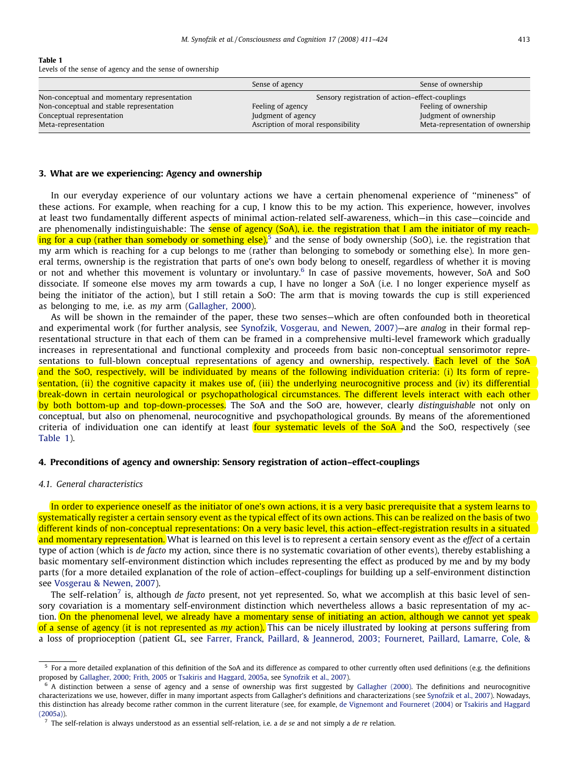# Table 1 Levels of the sense of agency and the sense of ownership

|                                             | Sense of agency                                 | Sense of ownership               |
|---------------------------------------------|-------------------------------------------------|----------------------------------|
| Non-conceptual and momentary representation | Sensory registration of action-effect-couplings |                                  |
| Non-conceptual and stable representation    | Feeling of agency                               | Feeling of ownership             |
| Conceptual representation                   | Judgment of agency                              | Judgment of ownership            |
| Meta-representation                         | Ascription of moral responsibility              | Meta-representation of ownership |

#### 3. What are we experiencing: Agency and ownership

In our everyday experience of our voluntary actions we have a certain phenomenal experience of ''mineness" of these actions. For example, when reaching for a cup, I know this to be my action. This experience, however, involves at least two fundamentally different aspects of minimal action-related self-awareness, which—in this case—coincide and are phenomenally indistinguishable: The sense of agency (SoA), i.e. the registration that I am the initiator of my reaching for a cup (rather than somebody or something else), $5$  and the sense of body ownership (SoO), i.e. the registration that my arm which is reaching for a cup belongs to me (rather than belonging to somebody or something else). In more general terms, ownership is the registration that parts of one's own body belong to oneself, regardless of whether it is moving or not and whether this movement is voluntary or involuntary[.6](#page-2-0) In case of passive movements, however, SoA and SoO dissociate. If someone else moves my arm towards a cup, I have no longer a SoA (i.e. I no longer experience myself as being the initiator of the action), but I still retain a SoO: The arm that is moving towards the cup is still experienced as belonging to me, i.e. as my arm ([Gallagher, 2000](#page-12-0)).

As will be shown in the remainder of the paper, these two senses—which are often confounded both in theoretical and experimental work (for further analysis, see [Synofzik, Vosgerau, and Newen, 2007\)](#page-13-0)—are *analog* in their formal representational structure in that each of them can be framed in a comprehensive multi-level framework which gradually increases in representational and functional complexity and proceeds from basic non-conceptual sensorimotor representations to full-blown conceptual representations of agency and ownership, respectively. Each level of the SoA and the SoO, respectively, will be individuated by means of the following individuation criteria: (i) Its form of representation, (ii) the cognitive capacity it makes use of, (iii) the underlying neurocognitive process and (iv) its differential break-down in certain neurological or psychopathological circumstances. The different levels interact with each other by both bottom-up and top-down-processes. The SoA and the SoO are, however, clearly distinguishable not only on conceptual, but also on phenomenal, neurocognitive and psychopathological grounds. By means of the aforementioned criteria of individuation one can identify at least four systematic levels of the SoA and the SoO, respectively (see [Table 1](#page-2-0)).

#### 4. Preconditions of agency and ownership: Sensory registration of action–effect-couplings

# 4.1. General characteristics

In order to experience oneself as the initiator of one's own actions, it is a very basic prerequisite that a system learns to systematically register a certain sensory event as the typical effect of its own actions. This can be realized on the basis of two different kinds of non-conceptual representations: On a very basic level, this action–effect-registration results in a situated and momentary representation. What is learned on this level is to represent a certain sensory event as the effect of a certain type of action (which is de facto my action, since there is no systematic covariation of other events), thereby establishing a basic momentary self-environment distinction which includes representing the effect as produced by me and by my body parts (for a more detailed explanation of the role of action–effect-couplings for building up a self-environment distinction see [Vosgerau & Newen, 2007](#page-13-0)).

The self-relation<sup>7</sup> is, although de facto present, not yet represented. So, what we accomplish at this basic level of sensory covariation is a momentary self-environment distinction which nevertheless allows a basic representation of my action. On the phenomenal level, we already have a momentary sense of initiating an action, although we cannot yet speak of a sense of agency (it is not represented as my action). This can be nicely illustrated by looking at persons suffering from a loss of proprioception (patient GL, see [Farrer, Franck, Paillard, & Jeannerod, 2003; Fourneret, Paillard, Lamarre, Cole, &](#page-12-0)

<sup>&</sup>lt;sup>5</sup> For a more detailed explanation of this definition of the SoA and its difference as compared to other currently often used definitions (e.g. the definitions proposed by [Gallagher, 2000; Frith, 2005](#page-12-0) or [Tsakiris and Haggard, 2005a,](#page-13-0) see [Synofzik et al., 2007\)](#page-13-0).

 $6$  A distinction between a sense of agency and a sense of ownership was first suggested by [Gallagher \(2000\)](#page-12-0). The definitions and neurocognitive characterizations we use, however, differ in many important aspects from Gallagher's definitions and characterizations (see [Synofzik et al., 2007](#page-13-0)). Nowadays, this distinction has already become rather common in the current literature (see, for example, [de Vignemont and Fourneret \(2004\)](#page-12-0) or [Tsakiris and Haggard](#page-13-0)  $(2005a)$ 

<span id="page-2-0"></span> $^7$  The self-relation is always understood as an essential self-relation, i.e. a de se and not simply a de re relation.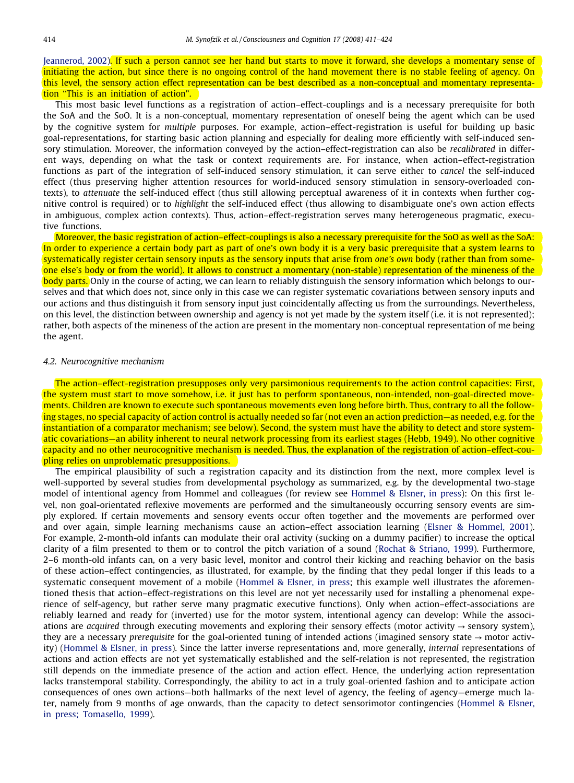[Jeannerod, 2002\)](#page-12-0). If such a person cannot see her hand but starts to move it forward, she develops a momentary sense of initiating the action, but since there is no ongoing control of the hand movement there is no stable feeling of agency. On this level, the sensory action effect representation can be best described as a non-conceptual and momentary representation ''This is an initiation of action".

This most basic level functions as a registration of action–effect-couplings and is a necessary prerequisite for both the SoA and the SoO. It is a non-conceptual, momentary representation of oneself being the agent which can be used by the cognitive system for multiple purposes. For example, action–effect-registration is useful for building up basic goal-representations, for starting basic action planning and especially for dealing more efficiently with self-induced sensory stimulation. Moreover, the information conveyed by the action–effect-registration can also be recalibrated in different ways, depending on what the task or context requirements are. For instance, when action–effect-registration functions as part of the integration of self-induced sensory stimulation, it can serve either to cancel the self-induced effect (thus preserving higher attention resources for world-induced sensory stimulation in sensory-overloaded contexts), to attenuate the self-induced effect (thus still allowing perceptual awareness of it in contexts when further cognitive control is required) or to highlight the self-induced effect (thus allowing to disambiguate one's own action effects in ambiguous, complex action contexts). Thus, action–effect-registration serves many heterogeneous pragmatic, executive functions.

Moreover, the basic registration of action–effect-couplings is also a necessary prerequisite for the SoO as well as the SoA: In order to experience a certain body part as part of one's own body it is a very basic prerequisite that a system learns to systematically register certain sensory inputs as the sensory inputs that arise from one's own body (rather than from someone else's body or from the world). It allows to construct a momentary (non-stable) representation of the mineness of the body parts. Only in the course of acting, we can learn to reliably distinguish the sensory information which belongs to ourselves and that which does not, since only in this case we can register systematic covariations between sensory inputs and our actions and thus distinguish it from sensory input just coincidentally affecting us from the surroundings. Nevertheless, on this level, the distinction between ownership and agency is not yet made by the system itself (i.e. it is not represented); rather, both aspects of the mineness of the action are present in the momentary non-conceptual representation of me being the agent.

# 4.2. Neurocognitive mechanism

The action–effect-registration presupposes only very parsimonious requirements to the action control capacities: First, the system must start to move somehow, i.e. it just has to perform spontaneous, non-intended, non-goal-directed movements. Children are known to execute such spontaneous movements even long before birth. Thus, contrary to all the following stages, no special capacity of action control is actually needed so far (not even an action prediction—as needed, e.g. for the instantiation of a comparator mechanism; see below). Second, the system must have the ability to detect and store systematic covariations—an ability inherent to neural network processing from its earliest stages ([Hebb, 1949\)](#page-12-0). No other cognitive capacity and no other neurocognitive mechanism is needed. Thus, the explanation of the registration of action–effect-coupling relies on unproblematic presuppositions.

The empirical plausibility of such a registration capacity and its distinction from the next, more complex level is well-supported by several studies from developmental psychology as summarized, e.g. by the developmental two-stage model of intentional agency from Hommel and colleagues (for review see [Hommel & Elsner, in press\)](#page-12-0): On this first level, non goal-orientated reflexive movements are performed and the simultaneously occurring sensory events are simply explored. If certain movements and sensory events occur often together and the movements are performed over and over again, simple learning mechanisms cause an action–effect association learning ([Elsner & Hommel, 2001](#page-12-0)). For example, 2-month-old infants can modulate their oral activity (sucking on a dummy pacifier) to increase the optical clarity of a film presented to them or to control the pitch variation of a sound [\(Rochat & Striano, 1999](#page-13-0)). Furthermore, 2–6 month-old infants can, on a very basic level, monitor and control their kicking and reaching behavior on the basis of these action–effect contingencies, as illustrated, for example, by the finding that they pedal longer if this leads to a systematic consequent movement of a mobile [\(Hommel & Elsner, in press;](#page-12-0) this example well illustrates the aforementioned thesis that action–effect-registrations on this level are not yet necessarily used for installing a phenomenal experience of self-agency, but rather serve many pragmatic executive functions). Only when action–effect-associations are reliably learned and ready for (inverted) use for the motor system, intentional agency can develop: While the associations are *acquired* through executing movements and exploring their sensory effects (motor activity  $\rightarrow$  sensory system), they are a necessary prerequisite for the goal-oriented tuning of intended actions (imagined sensory state  $\rightarrow$  motor activity) [\(Hommel & Elsner, in press](#page-12-0)). Since the latter inverse representations and, more generally, internal representations of actions and action effects are not yet systematically established and the self-relation is not represented, the registration still depends on the immediate presence of the action and action effect. Hence, the underlying action representation lacks transtemporal stability. Correspondingly, the ability to act in a truly goal-oriented fashion and to anticipate action consequences of ones own actions—both hallmarks of the next level of agency, the feeling of agency—emerge much later, namely from 9 months of age onwards, than the capacity to detect sensorimotor contingencies [\(Hommel & Elsner,](#page-12-0) [in press; Tomasello, 1999](#page-12-0)).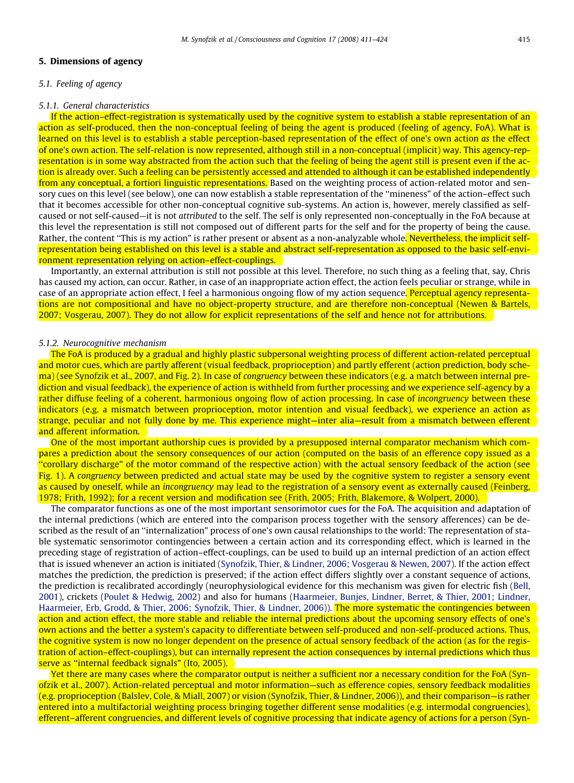# 5. Dimensions of agency

#### 5.1. Feeling of agency

#### 5.1.1. General characteristics

If the action–effect-registration is systematically used by the cognitive system to establish a stable representation of an action as self-produced, then the non-conceptual feeling of being the agent is produced (feeling of agency, FoA). What is learned on this level is to establish a stable perception-based representation of the effect of one's own action as the effect of one's own action. The self-relation is now represented, although still in a non-conceptual (implicit) way. This agency-representation is in some way abstracted from the action such that the feeling of being the agent still is present even if the action is already over. Such a feeling can be persistently accessed and attended to although it can be established independently from any conceptual, a fortiori linguistic representations. Based on the weighting process of action-related motor and sensory cues on this level (see below), one can now establish a stable representation of the "mineness" of the action–effect such that it becomes accessible for other non-conceptual cognitive sub-systems. An action is, however, merely classified as selfcaused or not self-caused—it is not attributed to the self. The self is only represented non-conceptually in the FoA because at this level the representation is still not composed out of different parts for the self and for the property of being the cause. Rather, the content "This is my action" is rather present or absent as a non-analyzable whole. Nevertheless, the implicit selfrepresentation being established on this level is a stable and abstract self-representation as opposed to the basic self-environment representation relying on action–effect-couplings.

Importantly, an external attribution is still not possible at this level. Therefore, no such thing as a feeling that, say, Chris has caused my action, can occur. Rather, in case of an inappropriate action effect, the action feels peculiar or strange, while in case of an appropriate action effect, I feel a harmonious ongoing flow of my action sequence. Perceptual agency representations are not compositional and have no object-property structure, and are therefore non-conceptual [\(Newen & Bartels,](#page-13-0) [2007; Vosgerau, 2007\)](#page-13-0). They do not allow for explicit representations of the self and hence not for attributions.

# 5.1.2. Neurocognitive mechanism

The FoA is produced by a gradual and highly plastic subpersonal weighting process of different action-related perceptual and motor cues, which are partly afferent (visual feedback, proprioception) and partly efferent (action prediction, body schema) (see [Synofzik et al., 2007](#page-13-0), and [Fig. 2\)](#page-8-0). In case of congruency between these indicators (e.g. a match between internal prediction and visual feedback), the experience of action is withheld from further processing and we experience self-agency by a rather diffuse feeling of a coherent, harmonious ongoing flow of action processing. In case of incongruency between these indicators (e.g. a mismatch between proprioception, motor intention and visual feedback), we experience an action as strange, peculiar and not fully done by me. This experience might—inter alia—result from a mismatch between efferent and afferent information.

One of the most important authorship cues is provided by a presupposed internal comparator mechanism which compares a prediction about the sensory consequences of our action (computed on the basis of an efference copy issued as a ''corollary discharge" of the motor command of the respective action) with the actual sensory feedback of the action (see [Fig. 1](#page-5-0)). A congruency between predicted and actual state may be used by the cognitive system to register a sensory event as caused by oneself, while an *incongruency* may lead to the registration of a sensory event as externally caused ([Feinberg,](#page-12-0) [1978; Frith, 1992](#page-12-0)); for a recent version and modification see [\(Frith, 2005; Frith, Blakemore, & Wolpert, 2000](#page-12-0)).

The comparator functions as one of the most important sensorimotor cues for the FoA. The acquisition and adaptation of the internal predictions (which are entered into the comparison process together with the sensory afferences) can be described as the result of an ''internalization" process of one's own causal relationships to the world: The representation of stable systematic sensorimotor contingencies between a certain action and its corresponding effect, which is learned in the preceding stage of registration of action–effect-couplings, can be used to build up an internal prediction of an action effect that is issued whenever an action is initiated ([Synofzik, Thier, & Lindner, 2006; Vosgerau & Newen, 2007](#page-13-0)). If the action effect matches the prediction, the prediction is preserved; if the action effect differs slightly over a constant sequence of actions, the prediction is recalibrated accordingly (neurophysiological evidence for this mechanism was given for electric fish [\(Bell,](#page-12-0) [2001\)](#page-12-0), crickets ([Poulet & Hedwig, 2002](#page-13-0)) and also for humans [\(Haarmeier, Bunjes, Lindner, Berret, & Thier, 2001; Lindner,](#page-12-0) [Haarmeier, Erb, Grodd, & Thier, 2006; Synofzik, Thier, & Lindner, 2006](#page-12-0))). The more systematic the contingencies between action and action effect, the more stable and reliable the internal predictions about the upcoming sensory effects of one's own actions and the better a system's capacity to differentiate between self-produced and non-self-produced actions. Thus, the cognitive system is now no longer dependent on the presence of actual sensory feedback of the action (as for the registration of action–effect-couplings), but can internally represent the action consequences by internal predictions which thus serve as ''internal feedback signals" ([Ito, 2005](#page-12-0)).

Yet there are many cases where the comparator output is neither a sufficient nor a necessary condition for the FoA [\(Syn](#page-13-0)[ofzik et al., 2007\)](#page-13-0). Action-related perceptual and motor information—such as efference copies, sensory feedback modalities (e.g. proprioception [\(Balslev, Cole, & Miall, 2007](#page-12-0)) or vision [\(Synofzik, Thier, & Lindner, 2006\)](#page-13-0)), and their comparison—is rather entered into a multifactorial weighting process bringing together different sense modalities (e.g. intermodal congruencies), efferent–afferent congruencies, and different levels of cognitive processing that indicate agency of actions for a person [\(Syn-](#page-13-0)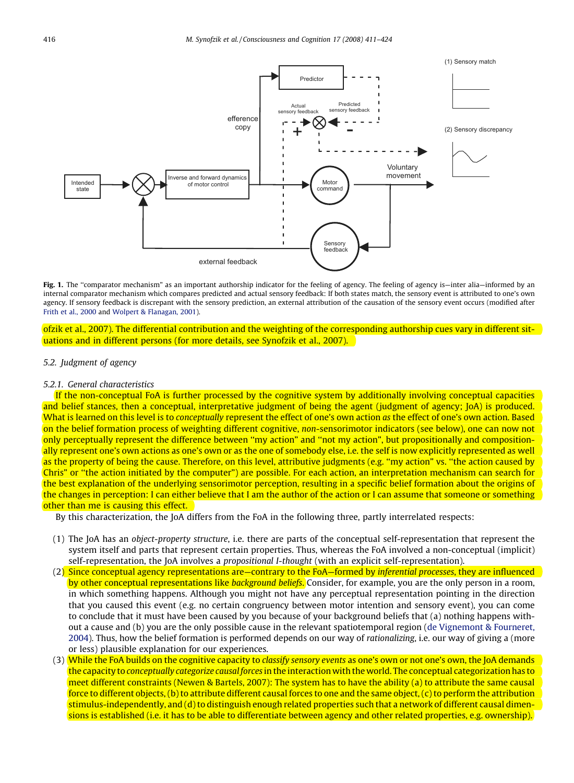

Fig. 1. The "comparator mechanism" as an important authorship indicator for the feeling of agency. The feeling of agency is—inter alia—informed by an internal comparator mechanism which compares predicted and actual sensory feedback: If both states match, the sensory event is attributed to one's own agency. If sensory feedback is discrepant with the sensory prediction, an external attribution of the causation of the sensory event occurs (modified after [Frith et al., 2000](#page-12-0) and [Wolpert & Flanagan, 2001](#page-13-0)).

[ofzik et al., 2007\)](#page-13-0). The differential contribution and the weighting of the corresponding authorship cues vary in different situations and in different persons (for more details, see [Synofzik et al., 2007\)](#page-13-0).

# 5.2. Judgment of agency

#### 5.2.1. General characteristics

If the non-conceptual FoA is further processed by the cognitive system by additionally involving conceptual capacities and belief stances, then a conceptual, interpretative judgment of being the agent (judgment of agency; JoA) is produced. What is learned on this level is to conceptually represent the effect of one's own action as the effect of one's own action. Based on the belief formation process of weighting different cognitive, non-sensorimotor indicators (see below), one can now not only perceptually represent the difference between ''my action" and ''not my action", but propositionally and compositionally represent one's own actions as one's own or as the one of somebody else, i.e. the self is now explicitly represented as well as the property of being the cause. Therefore, on this level, attributive judgments (e.g. ''my action" vs. ''the action caused by Chris" or ''the action initiated by the computer") are possible. For each action, an interpretation mechanism can search for the best explanation of the underlying sensorimotor perception, resulting in a specific belief formation about the origins of the changes in perception: I can either believe that I am the author of the action or I can assume that someone or something other than me is causing this effect.

By this characterization, the JoA differs from the FoA in the following three, partly interrelated respects:

- (1) The JoA has an object-property structure, i.e. there are parts of the conceptual self-representation that represent the system itself and parts that represent certain properties. Thus, whereas the FoA involved a non-conceptual (implicit) self-representation, the JoA involves a propositional I-thought (with an explicit self-representation).
- (2) Since conceptual agency representations are—contrary to the FoA—formed by inferential processes, they are influenced by other conceptual representations like background beliefs. Consider, for example, you are the only person in a room, in which something happens. Although you might not have any perceptual representation pointing in the direction that you caused this event (e.g. no certain congruency between motor intention and sensory event), you can come to conclude that it must have been caused by you because of your background beliefs that (a) nothing happens without a cause and (b) you are the only possible cause in the relevant spatiotemporal region [\(de Vignemont & Fourneret,](#page-12-0) [2004\)](#page-12-0). Thus, how the belief formation is performed depends on our way of rationalizing, i.e. our way of giving a (more or less) plausible explanation for our experiences.
- <span id="page-5-0"></span>(3) While the FoA builds on the cognitive capacity to *classify sensory events* as one's own or not one's own, the JoA demands the capacity to conceptually categorize causal forces in the interaction with the world. The conceptual categorization has to meet different constraints ([Newen & Bartels, 2007\)](#page-13-0): The system has to have the ability (a) to attribute the same causal force to different objects, (b) to attribute different causal forces to one and the same object, (c) to perform the attribution stimulus-independently, and (d) to distinguish enough related properties such that a network of different causal dimensions is established (i.e. it has to be able to differentiate between agency and other related properties, e.g. ownership).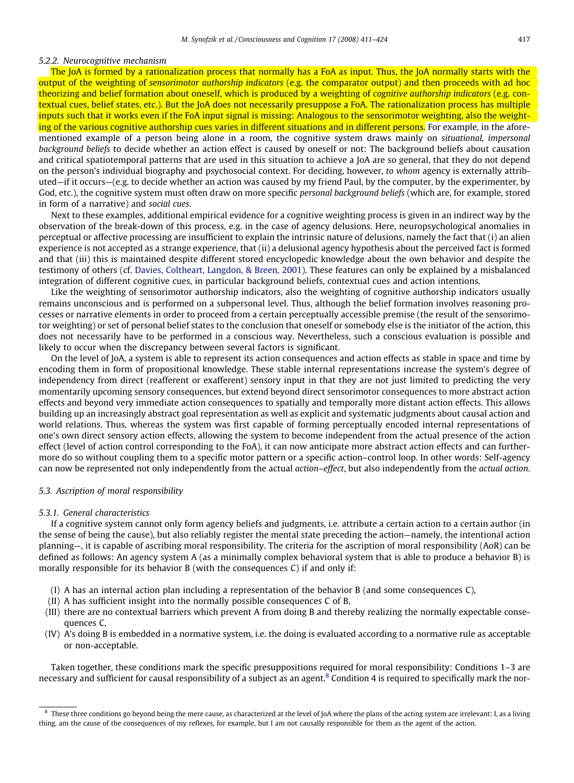#### 5.2.2. Neurocognitive mechanism

The JoA is formed by a rationalization process that normally has a FoA as input. Thus, the JoA normally starts with the output of the weighting of sensorimotor authorship indicators (e.g. the comparator output) and then proceeds with ad hoc theorizing and belief formation about oneself, which is produced by a weighting of cognitive authorship indicators (e.g. contextual cues, belief states, etc.). But the JoA does not necessarily presuppose a FoA. The rationalization process has multiple inputs such that it works even if the FoA input signal is missing: Analogous to the sensorimotor weighting, also the weighting of the various cognitive authorship cues varies in different situations and in different persons. For example, in the aforementioned example of a person being alone in a room, the cognitive system draws mainly on situational, impersonal background beliefs to decide whether an action effect is caused by oneself or not: The background beliefs about causation and critical spatiotemporal patterns that are used in this situation to achieve a JoA are so general, that they do not depend on the person's individual biography and psychosocial context. For deciding, however, to whom agency is externally attributed—if it occurs—(e.g. to decide whether an action was caused by my friend Paul, by the computer, by the experimenter, by God, etc.), the cognitive system must often draw on more specific personal background beliefs (which are, for example, stored in form of a narrative) and social cues.

Next to these examples, additional empirical evidence for a cognitive weighting process is given in an indirect way by the observation of the break-down of this process, e.g. in the case of agency delusions. Here, neuropsychological anomalies in perceptual or affective processing are insufficient to explain the intrinsic nature of delusions, namely the fact that (i) an alien experience is not accepted as a strange experience, that (ii) a delusional agency hypothesis about the perceived fact is formed and that (iii) this is maintained despite different stored encyclopedic knowledge about the own behavior and despite the testimony of others (cf. [Davies, Coltheart, Langdon, & Breen, 2001\)](#page-12-0). These features can only be explained by a misbalanced integration of different cognitive cues, in particular background beliefs, contextual cues and action intentions.

Like the weighting of sensorimotor authorship indicators, also the weighting of cognitive authorship indicators usually remains unconscious and is performed on a subpersonal level. Thus, although the belief formation involves reasoning processes or narrative elements in order to proceed from a certain perceptually accessible premise (the result of the sensorimotor weighting) or set of personal belief states to the conclusion that oneself or somebody else is the initiator of the action, this does not necessarily have to be performed in a conscious way. Nevertheless, such a conscious evaluation is possible and likely to occur when the discrepancy between several factors is significant.

On the level of JoA, a system is able to represent its action consequences and action effects as stable in space and time by encoding them in form of propositional knowledge. These stable internal representations increase the system's degree of independency from direct (reafferent or exafferent) sensory input in that they are not just limited to predicting the very momentarily upcoming sensory consequences, but extend beyond direct sensorimotor consequences to more abstract action effects and beyond very immediate action consequences to spatially and temporally more distant action effects. This allows building up an increasingly abstract goal representation as well as explicit and systematic judgments about causal action and world relations. Thus, whereas the system was first capable of forming perceptually encoded internal representations of one's own direct sensory action effects, allowing the system to become independent from the actual presence of the action effect (level of action control corresponding to the FoA), it can now anticipate more abstract action effects and can furthermore do so without coupling them to a specific motor pattern or a specific action–control loop. In other words: Self-agency can now be represented not only independently from the actual action–effect, but also independently from the actual action.

# 5.3. Ascription of moral responsibility

#### 5.3.1. General characteristics

If a cognitive system cannot only form agency beliefs and judgments, i.e. attribute a certain action to a certain author (in the sense of being the cause), but also reliably register the mental state preceding the action—namely, the intentional action planning—, it is capable of ascribing moral responsibility. The criteria for the ascription of moral responsibility (AoR) can be defined as follows: An agency system A (as a minimally complex behavioral system that is able to produce a behavior B) is morally responsible for its behavior B (with the consequences C) if and only if:

- (I) A has an internal action plan including a representation of the behavior B (and some consequences C),
- (II) A has sufficient insight into the normally possible consequences C of B,
- (III) there are no contextual barriers which prevent A from doing B and thereby realizing the normally expectable consequences C,
- (IV) A's doing B is embedded in a normative system, i.e. the doing is evaluated according to a normative rule as acceptable or non-acceptable.

Taken together, these conditions mark the specific presuppositions required for moral responsibility: Conditions 1–3 are necessary and sufficient for causal responsibility of a subject as an agent.<sup>[8](#page-6-0)</sup> Condition 4 is required to specifically mark the nor-

<span id="page-6-0"></span><sup>8</sup> These three conditions go beyond being the mere cause, as characterized at the level of JoA where the plans of the acting system are irrelevant: I, as a living thing, am the cause of the consequences of my reflexes, for example, but I am not causally responsible for them as the agent of the action.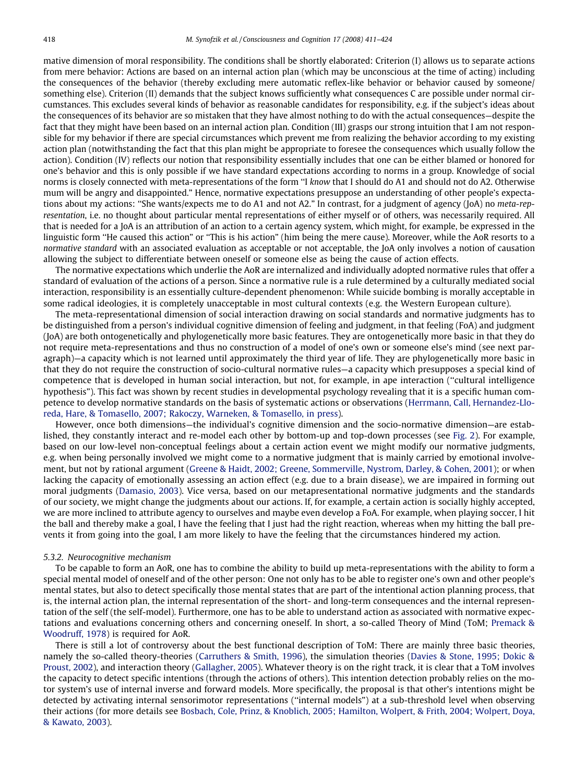mative dimension of moral responsibility. The conditions shall be shortly elaborated: Criterion (I) allows us to separate actions from mere behavior: Actions are based on an internal action plan (which may be unconscious at the time of acting) including the consequences of the behavior (thereby excluding mere automatic reflex-like behavior or behavior caused by someone/ something else). Criterion (II) demands that the subject knows sufficiently what consequences C are possible under normal circumstances. This excludes several kinds of behavior as reasonable candidates for responsibility, e.g. if the subject's ideas about the consequences of its behavior are so mistaken that they have almost nothing to do with the actual consequences—despite the fact that they might have been based on an internal action plan. Condition (III) grasps our strong intuition that I am not responsible for my behavior if there are special circumstances which prevent me from realizing the behavior according to my existing action plan (notwithstanding the fact that this plan might be appropriate to foresee the consequences which usually follow the action). Condition (IV) reflects our notion that responsibility essentially includes that one can be either blamed or honored for one's behavior and this is only possible if we have standard expectations according to norms in a group. Knowledge of social norms is closely connected with meta-representations of the form ''I know that I should do A1 and should not do A2. Otherwise mum will be angry and disappointed." Hence, normative expectations presuppose an understanding of other people's expectations about my actions: "She wants/expects me to do A1 and not A2." In contrast, for a judgment of agency (JoA) no meta-representation, i.e. no thought about particular mental representations of either myself or of others, was necessarily required. All that is needed for a JoA is an attribution of an action to a certain agency system, which might, for example, be expressed in the linguistic form "He caused this action" or "This is his action" (him being the mere cause). Moreover, while the AoR resorts to a normative standard with an associated evaluation as acceptable or not acceptable, the JoA only involves a notion of causation allowing the subject to differentiate between oneself or someone else as being the cause of action effects.

The normative expectations which underlie the AoR are internalized and individually adopted normative rules that offer a standard of evaluation of the actions of a person. Since a normative rule is a rule determined by a culturally mediated social interaction, responsibility is an essentially culture-dependent phenomenon: While suicide bombing is morally acceptable in some radical ideologies, it is completely unacceptable in most cultural contexts (e.g. the Western European culture).

The meta-representational dimension of social interaction drawing on social standards and normative judgments has to be distinguished from a person's individual cognitive dimension of feeling and judgment, in that feeling (FoA) and judgment (JoA) are both ontogenetically and phylogenetically more basic features. They are ontogenetically more basic in that they do not require meta-representations and thus no construction of a model of one's own or someone else's mind (see next paragraph)—a capacity which is not learned until approximately the third year of life. They are phylogenetically more basic in that they do not require the construction of socio-cultural normative rules—a capacity which presupposes a special kind of competence that is developed in human social interaction, but not, for example, in ape interaction (''cultural intelligence hypothesis"). This fact was shown by recent studies in developmental psychology revealing that it is a specific human competence to develop normative standards on the basis of systematic actions or observations [\(Herrmann, Call, Hernandez-Llo](#page-12-0)[reda, Hare, & Tomasello, 2007; Rakoczy, Warneken, & Tomasello, in press\)](#page-12-0).

However, once both dimensions—the individual's cognitive dimension and the socio-normative dimension—are established, they constantly interact and re-model each other by bottom-up and top-down processes (see [Fig. 2\)](#page-8-0). For example, based on our low-level non-conceptual feelings about a certain action event we might modify our normative judgments, e.g. when being personally involved we might come to a normative judgment that is mainly carried by emotional involvement, but not by rational argument ([Greene & Haidt, 2002; Greene, Sommerville, Nystrom, Darley, & Cohen, 2001](#page-12-0)); or when lacking the capacity of emotionally assessing an action effect (e.g. due to a brain disease), we are impaired in forming out moral judgments ([Damasio, 2003\)](#page-12-0). Vice versa, based on our metapresentational normative judgments and the standards of our society, we might change the judgments about our actions. If, for example, a certain action is socially highly accepted, we are more inclined to attribute agency to ourselves and maybe even develop a FoA. For example, when playing soccer, I hit the ball and thereby make a goal, I have the feeling that I just had the right reaction, whereas when my hitting the ball prevents it from going into the goal, I am more likely to have the feeling that the circumstances hindered my action.

#### 5.3.2. Neurocognitive mechanism

To be capable to form an AoR, one has to combine the ability to build up meta-representations with the ability to form a special mental model of oneself and of the other person: One not only has to be able to register one's own and other people's mental states, but also to detect specifically those mental states that are part of the intentional action planning process, that is, the internal action plan, the internal representation of the short- and long-term consequences and the internal representation of the self (the self-model). Furthermore, one has to be able to understand action as associated with normative expectations and evaluations concerning others and concerning oneself. In short, a so-called Theory of Mind (ToM; [Premack &](#page-13-0) [Woodruff, 1978\)](#page-13-0) is required for AoR.

There is still a lot of controversy about the best functional description of ToM: There are mainly three basic theories, namely the so-called theory-theories ([Carruthers & Smith, 1996\)](#page-12-0), the simulation theories ([Davies & Stone, 1995; Dokic &](#page-12-0) [Proust, 2002](#page-12-0)), and interaction theory [\(Gallagher, 2005](#page-12-0)). Whatever theory is on the right track, it is clear that a ToM involves the capacity to detect specific intentions (through the actions of others). This intention detection probably relies on the motor system's use of internal inverse and forward models. More specifically, the proposal is that other's intentions might be detected by activating internal sensorimotor representations (''internal models") at a sub-threshold level when observing their actions (for more details see [Bosbach, Cole, Prinz, & Knoblich, 2005; Hamilton, Wolpert, & Frith, 2004; Wolpert, Doya,](#page-12-0) [& Kawato, 2003](#page-12-0)).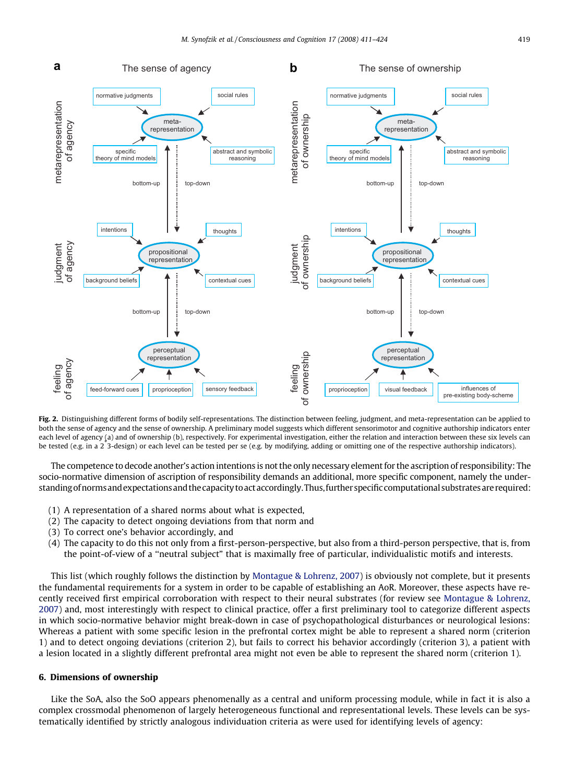

Fig. 2. Distinguishing different forms of bodily self-representations. The distinction between feeling, judgment, and meta-representation can be applied to both the sense of agency and the sense of ownership. A preliminary model suggests which different sensorimotor and cognitive authorship indicators enter each level of agency (a) and of ownership (b), respectively. For experimental investigation, either the relation and interaction between these six levels can be tested (e.g. in a 2\* 3-design) or each level can be tested per se (e.g. by modifying, adding or omitting one of the respective authorship indicators).

The competence to decode another's action intentions is not the only necessary element for the ascription of responsibility: The socio-normative dimension of ascription of responsibility demands an additional, more specific component, namely the understandingofnormsand expectations and thecapacity to actaccordingly.Thus, furtherspecificcomputationalsubstrates are required:

- (1) A representation of a shared norms about what is expected,
- (2) The capacity to detect ongoing deviations from that norm and
- (3) To correct one's behavior accordingly, and
- (4) The capacity to do this not only from a first-person-perspective, but also from a third-person perspective, that is, from the point-of-view of a ''neutral subject" that is maximally free of particular, individualistic motifs and interests.

This list (which roughly follows the distinction by [Montague & Lohrenz, 2007](#page-13-0)) is obviously not complete, but it presents the fundamental requirements for a system in order to be capable of establishing an AoR. Moreover, these aspects have recently received first empirical corroboration with respect to their neural substrates (for review see [Montague & Lohrenz,](#page-13-0) [2007\)](#page-13-0) and, most interestingly with respect to clinical practice, offer a first preliminary tool to categorize different aspects in which socio-normative behavior might break-down in case of psychopathological disturbances or neurological lesions: Whereas a patient with some specific lesion in the prefrontal cortex might be able to represent a shared norm (criterion 1) and to detect ongoing deviations (criterion 2), but fails to correct his behavior accordingly (criterion 3), a patient with a lesion located in a slightly different prefrontal area might not even be able to represent the shared norm (criterion 1).

#### 6. Dimensions of ownership

<span id="page-8-0"></span>Like the SoA, also the SoO appears phenomenally as a central and uniform processing module, while in fact it is also a complex crossmodal phenomenon of largely heterogeneous functional and representational levels. These levels can be systematically identified by strictly analogous individuation criteria as were used for identifying levels of agency: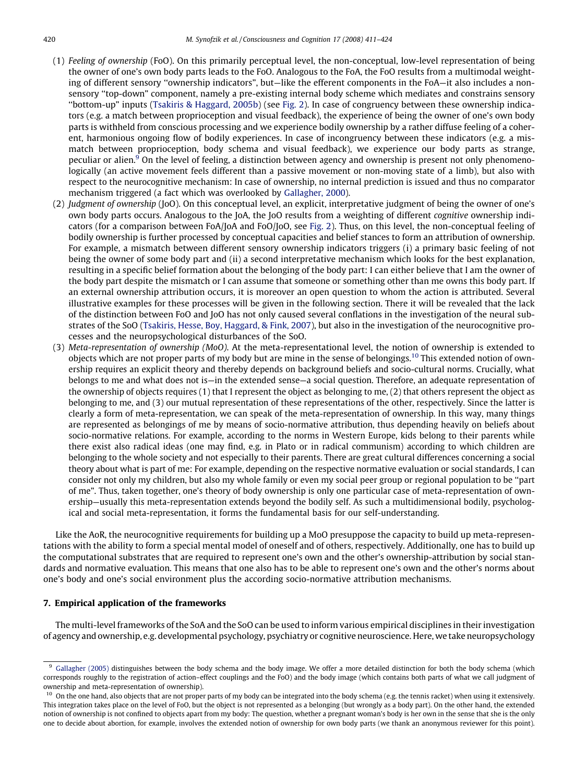- (1) Feeling of ownership (FoO). On this primarily perceptual level, the non-conceptual, low-level representation of being the owner of one's own body parts leads to the FoO. Analogous to the FoA, the FoO results from a multimodal weighting of different sensory ''ownership indicators", but—like the efferent components in the FoA—it also includes a nonsensory ''top-down" component, namely a pre-existing internal body scheme which mediates and constrains sensory ''bottom-up" inputs [\(Tsakiris & Haggard, 2005b\)](#page-13-0) (see [Fig. 2\)](#page-8-0). In case of congruency between these ownership indicators (e.g. a match between proprioception and visual feedback), the experience of being the owner of one's own body parts is withheld from conscious processing and we experience bodily ownership by a rather diffuse feeling of a coherent, harmonious ongoing flow of bodily experiences. In case of incongruency between these indicators (e.g. a mismatch between proprioception, body schema and visual feedback), we experience our body parts as strange, peculiar or alien.<sup>[9](#page-9-0)</sup> On the level of feeling, a distinction between agency and ownership is present not only phenomenologically (an active movement feels different than a passive movement or non-moving state of a limb), but also with respect to the neurocognitive mechanism: In case of ownership, no internal prediction is issued and thus no comparator mechanism triggered (a fact which was overlooked by [Gallagher, 2000\)](#page-12-0).
- (2) Judgment of ownership (JoO). On this conceptual level, an explicit, interpretative judgment of being the owner of one's own body parts occurs. Analogous to the JoA, the JoO results from a weighting of different cognitive ownership indicators (for a comparison between FoA/JoA and FoO/JoO, see [Fig. 2](#page-8-0)). Thus, on this level, the non-conceptual feeling of bodily ownership is further processed by conceptual capacities and belief stances to form an attribution of ownership. For example, a mismatch between different sensory ownership indicators triggers (i) a primary basic feeling of not being the owner of some body part and (ii) a second interpretative mechanism which looks for the best explanation, resulting in a specific belief formation about the belonging of the body part: I can either believe that I am the owner of the body part despite the mismatch or I can assume that someone or something other than me owns this body part. If an external ownership attribution occurs, it is moreover an open question to whom the action is attributed. Several illustrative examples for these processes will be given in the following section. There it will be revealed that the lack of the distinction between FoO and JoO has not only caused several conflations in the investigation of the neural substrates of the SoO [\(Tsakiris, Hesse, Boy, Haggard, & Fink, 2007](#page-13-0)), but also in the investigation of the neurocognitive processes and the neuropsychological disturbances of the SoO.
- (3) Meta-representation of ownership (MoO). At the meta-representational level, the notion of ownership is extended to objects which are not proper parts of my body but are mine in the sense of belongings.<sup>10</sup> This extended notion of ownership requires an explicit theory and thereby depends on background beliefs and socio-cultural norms. Crucially, what belongs to me and what does not is—in the extended sense—a social question. Therefore, an adequate representation of the ownership of objects requires (1) that I represent the object as belonging to me, (2) that others represent the object as belonging to me, and (3) our mutual representation of these representations of the other, respectively. Since the latter is clearly a form of meta-representation, we can speak of the meta-representation of ownership. In this way, many things are represented as belongings of me by means of socio-normative attribution, thus depending heavily on beliefs about socio-normative relations. For example, according to the norms in Western Europe, kids belong to their parents while there exist also radical ideas (one may find, e.g. in Plato or in radical communism) according to which children are belonging to the whole society and not especially to their parents. There are great cultural differences concerning a social theory about what is part of me: For example, depending on the respective normative evaluation or social standards, I can consider not only my children, but also my whole family or even my social peer group or regional population to be ''part of me". Thus, taken together, one's theory of body ownership is only one particular case of meta-representation of ownership—usually this meta-representation extends beyond the bodily self. As such a multidimensional bodily, psychological and social meta-representation, it forms the fundamental basis for our self-understanding.

Like the AoR, the neurocognitive requirements for building up a MoO presuppose the capacity to build up meta-representations with the ability to form a special mental model of oneself and of others, respectively. Additionally, one has to build up the computational substrates that are required to represent one's own and the other's ownership-attribution by social standards and normative evaluation. This means that one also has to be able to represent one's own and the other's norms about one's body and one's social environment plus the according socio-normative attribution mechanisms.

### 7. Empirical application of the frameworks

The multi-level frameworks of the SoA and the SoO can be used to inform various empirical disciplines in their investigation of agency and ownership, e.g. developmental psychology, psychiatry or cognitive neuroscience. Here, we take neuropsychology

 $9$  [Gallagher \(2005\)](#page-12-0) distinguishes between the body schema and the body image. We offer a more detailed distinction for both the body schema (which corresponds roughly to the registration of action–effect couplings and the FoO) and the body image (which contains both parts of what we call judgment of ownership and meta-representation of ownership).

<span id="page-9-0"></span><sup>&</sup>lt;sup>10</sup> On the one hand, also objects that are not proper parts of my body can be integrated into the body schema (e.g. the tennis racket) when using it extensively. This integration takes place on the level of FoO, but the object is not represented as a belonging (but wrongly as a body part). On the other hand, the extended notion of ownership is not confined to objects apart from my body: The question, whether a pregnant woman's body is her own in the sense that she is the only one to decide about abortion, for example, involves the extended notion of ownership for own body parts (we thank an anonymous reviewer for this point).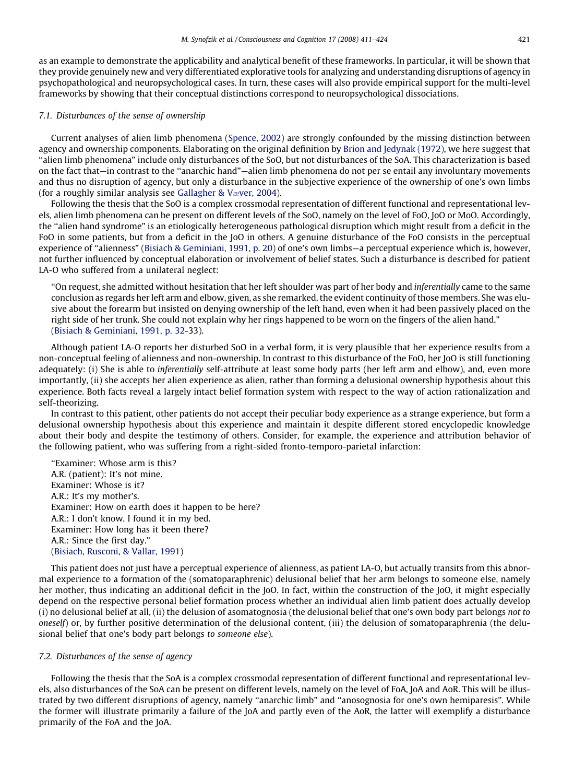as an example to demonstrate the applicability and analytical benefit of these frameworks. In particular, it will be shown that they provide genuinely new and very differentiated explorative tools for analyzing and understanding disruptions of agency in psychopathological and neuropsychological cases. In turn, these cases will also provide empirical support for the multi-level frameworks by showing that their conceptual distinctions correspond to neuropsychological dissociations.

# 7.1. Disturbances of the sense of ownership

Current analyses of alien limb phenomena ([Spence, 2002\)](#page-13-0) are strongly confounded by the missing distinction between agency and ownership components. Elaborating on the original definition by [Brion and Jedynak \(1972\)](#page-12-0), we here suggest that ''alien limb phenomena" include only disturbances of the SoO, but not disturbances of the SoA. This characterization is based on the fact that—in contrast to the ''anarchic hand"—alien limb phenomena do not per se entail any involuntary movements and thus no disruption of agency, but only a disturbance in the subjective experience of the ownership of one's own limbs (for a roughly similar analysis see [Gallagher & V](#page-12-0) $_{\text{ex}}$ [ver, 2004](#page-12-0)).

Following the thesis that the SoO is a complex crossmodal representation of different functional and representational levels, alien limb phenomena can be present on different levels of the SoO, namely on the level of FoO, JoO or MoO. Accordingly, the ''alien hand syndrome" is an etiologically heterogeneous pathological disruption which might result from a deficit in the FoO in some patients, but from a deficit in the JoO in others. A genuine disturbance of the FoO consists in the perceptual experience of ''alienness" [\(Bisiach & Geminiani, 1991, p. 20](#page-12-0)) of one's own limbs—a perceptual experience which is, however, not further influenced by conceptual elaboration or involvement of belief states. Such a disturbance is described for patient LA-O who suffered from a unilateral neglect:

''On request, she admitted without hesitation that her left shoulder was part of her body and inferentially came to the same conclusion as regards her left arm and elbow, given, as she remarked, the evident continuity of those members. She was elusive about the forearm but insisted on denying ownership of the left hand, even when it had been passively placed on the right side of her trunk. She could not explain why her rings happened to be worn on the fingers of the alien hand." ([Bisiach & Geminiani, 1991, p. 32](#page-12-0)-33).

Although patient LA-O reports her disturbed SoO in a verbal form, it is very plausible that her experience results from a non-conceptual feeling of alienness and non-ownership. In contrast to this disturbance of the FoO, her JoO is still functioning adequately: (i) She is able to inferentially self-attribute at least some body parts (her left arm and elbow), and, even more importantly, (ii) she accepts her alien experience as alien, rather than forming a delusional ownership hypothesis about this experience. Both facts reveal a largely intact belief formation system with respect to the way of action rationalization and self-theorizing.

In contrast to this patient, other patients do not accept their peculiar body experience as a strange experience, but form a delusional ownership hypothesis about this experience and maintain it despite different stored encyclopedic knowledge about their body and despite the testimony of others. Consider, for example, the experience and attribution behavior of the following patient, who was suffering from a right-sided fronto-temporo-parietal infarction:

''Examiner: Whose arm is this? A.R. (patient): It's not mine. Examiner: Whose is it? A.R.: It's my mother's. Examiner: How on earth does it happen to be here? A.R.: I don't know. I found it in my bed. Examiner: How long has it been there? A.R.: Since the first day." ([Bisiach, Rusconi, & Vallar, 1991\)](#page-12-0)

This patient does not just have a perceptual experience of alienness, as patient LA-O, but actually transits from this abnormal experience to a formation of the (somatoparaphrenic) delusional belief that her arm belongs to someone else, namely her mother, thus indicating an additional deficit in the JoO. In fact, within the construction of the JoO, it might especially depend on the respective personal belief formation process whether an individual alien limb patient does actually develop (i) no delusional belief at all, (ii) the delusion of asomatognosia (the delusional belief that one's own body part belongs not to oneself) or, by further positive determination of the delusional content, (iii) the delusion of somatoparaphrenia (the delusional belief that one's body part belongs to someone else).

#### 7.2. Disturbances of the sense of agency

Following the thesis that the SoA is a complex crossmodal representation of different functional and representational levels, also disturbances of the SoA can be present on different levels, namely on the level of FoA, JoA and AoR. This will be illustrated by two different disruptions of agency, namely ''anarchic limb" and ''anosognosia for one's own hemiparesis". While the former will illustrate primarily a failure of the JoA and partly even of the AoR, the latter will exemplify a disturbance primarily of the FoA and the JoA.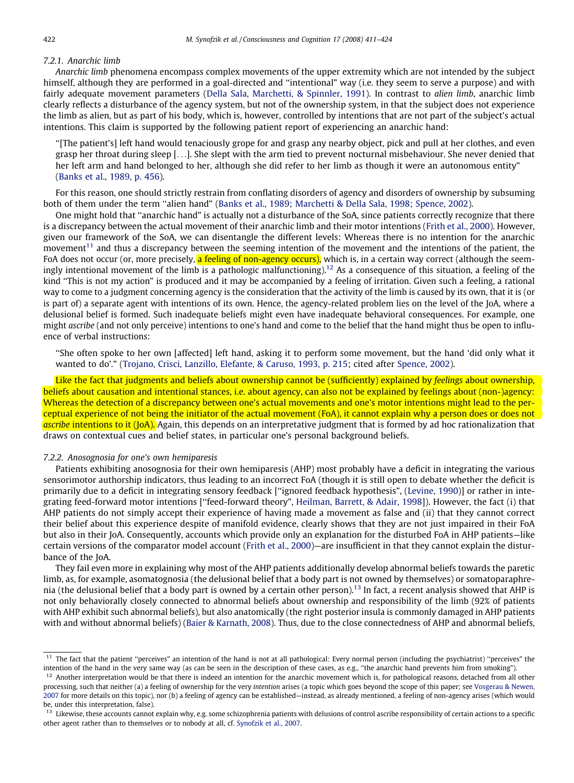# 7.2.1. Anarchic limb

Anarchic limb phenomena encompass complex movements of the upper extremity which are not intended by the subject himself, although they are performed in a goal-directed and ''intentional" way (i.e. they seem to serve a purpose) and with fairly adequate movement parameters [\(Della Sala, Marchetti, & Spinnler, 1991](#page-12-0)). In contrast to alien limb, anarchic limb clearly reflects a disturbance of the agency system, but not of the ownership system, in that the subject does not experience the limb as alien, but as part of his body, which is, however, controlled by intentions that are not part of the subject's actual intentions. This claim is supported by the following patient report of experiencing an anarchic hand:

''[The patient's] left hand would tenaciously grope for and grasp any nearby object, pick and pull at her clothes, and even grasp her throat during sleep [...]. She slept with the arm tied to prevent nocturnal misbehaviour. She never denied that her left arm and hand belonged to her, although she did refer to her limb as though it were an autonomous entity" ([Banks et al., 1989, p. 456](#page-12-0)).

For this reason, one should strictly restrain from conflating disorders of agency and disorders of ownership by subsuming both of them under the term ''alien hand" [\(Banks et al., 1989; Marchetti & Della Sala, 1998; Spence, 2002](#page-12-0)).

One might hold that ''anarchic hand" is actually not a disturbance of the SoA, since patients correctly recognize that there is a discrepancy between the actual movement of their anarchic limb and their motor intentions [\(Frith et al., 2000\)](#page-12-0). However, given our framework of the SoA, we can disentangle the different levels: Whereas there is no intention for the anarchic movement<sup>[11](#page-11-0)</sup> and thus a discrepancy between the seeming intention of the movement and the intentions of the patient, the FoA does not occur (or, more precisely, a feeling of non-agency occurs), which is, in a certain way correct (although the seem-ingly intentional movement of the limb is a pathologic malfunctioning).<sup>[12](#page-11-0)</sup> As a consequence of this situation, a feeling of the kind ''This is not my action" is produced and it may be accompanied by a feeling of irritation. Given such a feeling, a rational way to come to a judgment concerning agency is the consideration that the activity of the limb is caused by its own, that it is (or is part of) a separate agent with intentions of its own. Hence, the agency-related problem lies on the level of the JoA, where a delusional belief is formed. Such inadequate beliefs might even have inadequate behavioral consequences. For example, one might ascribe (and not only perceive) intentions to one's hand and come to the belief that the hand might thus be open to influence of verbal instructions:

''She often spoke to her own [affected] left hand, asking it to perform some movement, but the hand 'did only what it wanted to do'." ([Trojano, Crisci, Lanzillo, Elefante, & Caruso, 1993, p. 215](#page-13-0); cited after [Spence, 2002\)](#page-13-0).

Like the fact that judgments and beliefs about ownership cannot be (sufficiently) explained by *feelings* about ownership, beliefs about causation and intentional stances, i.e. about agency, can also not be explained by feelings about (non-)agency: Whereas the detection of a discrepancy between one's actual movements and one's motor intentions might lead to the perceptual experience of not being the initiator of the actual movement (FoA), it cannot explain why a person does or does not ascribe intentions to it (JoA). Again, this depends on an interpretative judgment that is formed by ad hoc rationalization that draws on contextual cues and belief states, in particular one's personal background beliefs.

# 7.2.2. Anosognosia for one's own hemiparesis

Patients exhibiting anosognosia for their own hemiparesis (AHP) most probably have a deficit in integrating the various sensorimotor authorship indicators, thus leading to an incorrect FoA (though it is still open to debate whether the deficit is primarily due to a deficit in integrating sensory feedback [''ignored feedback hypothesis", ([Levine, 1990\)](#page-13-0)] or rather in integrating feed-forward motor intentions [''feed-forward theory", [Heilman, Barrett, & Adair, 1998\]](#page-12-0)). However, the fact (i) that AHP patients do not simply accept their experience of having made a movement as false and (ii) that they cannot correct their belief about this experience despite of manifold evidence, clearly shows that they are not just impaired in their FoA but also in their JoA. Consequently, accounts which provide only an explanation for the disturbed FoA in AHP patients—like certain versions of the comparator model account ([Frith et al., 2000](#page-12-0))—are insufficient in that they cannot explain the disturbance of the JoA.

They fail even more in explaining why most of the AHP patients additionally develop abnormal beliefs towards the paretic limb, as, for example, asomatognosia (the delusional belief that a body part is not owned by themselves) or somatoparaphrenia (the delusional belief that a body part is owned by a certain other person).[13](#page-11-0) In fact, a recent analysis showed that AHP is not only behaviorally closely connected to abnormal beliefs about ownership and responsibility of the limb (92% of patients with AHP exhibit such abnormal beliefs), but also anatomically (the right posterior insula is commonly damaged in AHP patients with and without abnormal beliefs) ([Baier & Karnath, 2008\)](#page-12-0). Thus, due to the close connectedness of AHP and abnormal beliefs,

<sup>&</sup>lt;sup>11</sup> The fact that the patient "perceives" an intention of the hand is not at all pathological: Every normal person (including the psychiatrist) "perceives" the intention of the hand in the very same way (as can be seen in the description of these cases, as e.g., ''the anarchic hand prevents him from smoking").

<sup>&</sup>lt;sup>12</sup> Another interpretation would be that there is indeed an intention for the anarchic movement which is, for pathological reasons, detached from all other processing, such that neither (a) a feeling of ownership for the very intention arises (a topic which goes beyond the scope of this paper; see [Vosgerau & Newen,](#page-13-0) [2007](#page-13-0) for more details on this topic), nor (b) a feeling of agency can be established—instead, as already mentioned, a feeling of non-agency arises (which would be, under this interpretation, false).

<span id="page-11-0"></span><sup>&</sup>lt;sup>13</sup> Likewise, these accounts cannot explain why, e.g. some schizophrenia patients with delusions of control ascribe responsibility of certain actions to a specific other agent rather than to themselves or to nobody at all, cf. [Synofzik et al., 2007.](#page-13-0)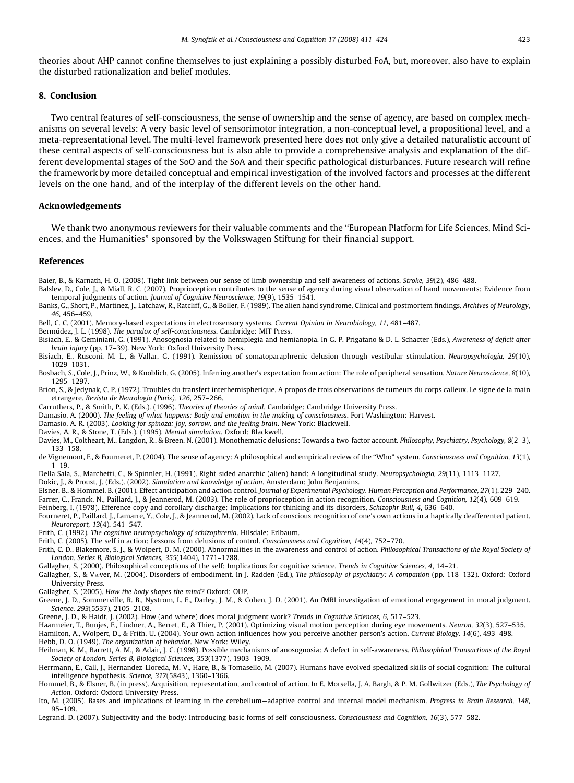theories about AHP cannot confine themselves to just explaining a possibly disturbed FoA, but, moreover, also have to explain the disturbed rationalization and belief modules.

# 8. Conclusion

Two central features of self-consciousness, the sense of ownership and the sense of agency, are based on complex mechanisms on several levels: A very basic level of sensorimotor integration, a non-conceptual level, a propositional level, and a meta-representational level. The multi-level framework presented here does not only give a detailed naturalistic account of these central aspects of self-consciousness but is also able to provide a comprehensive analysis and explanation of the different developmental stages of the SoO and the SoA and their specific pathological disturbances. Future research will refine the framework by more detailed conceptual and empirical investigation of the involved factors and processes at the different levels on the one hand, and of the interplay of the different levels on the other hand.

#### Acknowledgements

We thank two anonymous reviewers for their valuable comments and the ''European Platform for Life Sciences, Mind Sciences, and the Humanities" sponsored by the Volkswagen Stiftung for their financial support.

#### References

Baier, B., & Karnath, H. O. (2008). Tight link between our sense of limb ownership and self-awareness of actions. Stroke, 39(2), 486–488.

Balslev, D., Cole, J., & Miall, R. C. (2007). Proprioception contributes to the sense of agency during visual observation of hand movements: Evidence from temporal judgments of action. Journal of Cognitive Neuroscience, 19(9), 1535–1541.

Banks, G., Short, P., Martinez, J., Latchaw, R., Ratcliff, G., & Boller, F. (1989). The alien hand syndrome. Clinical and postmortem findings. Archives of Neurology, 46, 456–459.

Bell, C. C. (2001). Memory-based expectations in electrosensory systems. Current Opinion in Neurobiology, 11, 481–487.

Bermúdez, J. L. (1998). The paradox of self-consciousness. Cambridge: MIT Press.

Bisiach, E., & Geminiani, G. (1991). Anosognosia related to hemiplegia and hemianopia. In G. P. Prigatano & D. L. Schacter (Eds.), Awareness of deficit after brain injury (pp. 17–39). New York: Oxford University Press.

Bisiach, E., Rusconi, M. L., & Vallar, G. (1991). Remission of somatoparaphrenic delusion through vestibular stimulation. Neuropsychologia, 29(10), 1029–1031.

Bosbach, S., Cole, J., Prinz, W., & Knoblich, G. (2005). Inferring another's expectation from action: The role of peripheral sensation. Nature Neuroscience, 8(10), 1295–1297.

Brion, S., & Jedynak, C. P. (1972). Troubles du transfert interhemispherique. A propos de trois observations de tumeurs du corps calleux. Le signe de la main etrangere. Revista de Neurologia (Paris), 126, 257–266.

Carruthers, P., & Smith, P. K. (Eds.). (1996). Theories of theories of mind. Cambridge: Cambridge University Press.

Damasio, A. (2000). The feeling of what happens: Body and emotion in the making of consciousness. Fort Washington: Harvest.

Damasio, A. R. (2003). Looking for spinoza: Joy, sorrow, and the feeling brain. New York: Blackwell.

Davies, A. R., & Stone, T. (Eds.). (1995). Mental simulation. Oxford: Blackwell.

Davies, M., Coltheart, M., Langdon, R., & Breen, N. (2001). Monothematic delusions: Towards a two-factor account. Philosophy, Psychiatry, Psychology, 8(2–3), 133–158.

de Vignemont, F., & Fourneret, P. (2004). The sense of agency: A philosophical and empirical review of the ''Who" system. Consciousness and Cognition, 13(1),  $1 - 19$ .

Della Sala, S., Marchetti, C., & Spinnler, H. (1991). Right-sided anarchic (alien) hand: A longitudinal study. Neuropsychologia, 29(11), 1113–1127.

Dokic, J., & Proust, J. (Eds.). (2002). Simulation and knowledge of action. Amsterdam: John Benjamins.

Elsner, B., & Hommel, B. (2001). Effect anticipation and action control. Journal of Experimental Psychology. Human Perception and Performance, 27(1), 229–240. Farrer, C., Franck, N., Paillard, J., & Jeannerod, M. (2003). The role of proprioception in action recognition. Consciousness and Cognition, 12(4), 609–619.

Feinberg, I. (1978). Efference copy and corollary discharge: Implications for thinking and its disorders. Schizophr Bull, 4, 636–640.

Fourneret, P., Paillard, J., Lamarre, Y., Cole, J., & Jeannerod, M. (2002). Lack of conscious recognition of one's own actions in a haptically deafferented patient. Neuroreport, 13(4), 541–547.

Frith, C. (1992). The cognitive neuropsychology of schizophrenia. Hilsdale: Erlbaum.

Frith, C. (2005). The self in action: Lessons from delusions of control. Consciousness and Cognition, 14(4), 752–770.

Frith, C. D., Blakemore, S. J., & Wolpert, D. M. (2000). Abnormalities in the awareness and control of action. Philosophical Transactions of the Royal Society of London. Series B, Biological Sciences, 355(1404), 1771–1788.

Gallagher, S. (2000). Philosophical conceptions of the self: Implications for cognitive science. Trends in Cognitive Sciences, 4, 14–21.

Gallagher, S., & Væver, M. (2004). Disorders of embodiment. In J. Radden (Ed.), The philosophy of psychiatry: A companion (pp. 118-132). Oxford: Oxford University Press.

Gallagher, S. (2005). How the body shapes the mind? Oxford: OUP.

Greene, J. D., Sommerville, R. B., Nystrom, L. E., Darley, J. M., & Cohen, J. D. (2001). An fMRI investigation of emotional engagement in moral judgment. Science, 293(5537), 2105–2108.

Greene, J. D., & Haidt, J. (2002). How (and where) does moral judgment work? Trends in Cognitive Sciences, 6, 517–523.

Haarmeier, T., Bunjes, F., Lindner, A., Berret, E., & Thier, P. (2001). Optimizing visual motion perception during eye movements. Neuron, 32(3), 527–535. Hamilton, A., Wolpert, D., & Frith, U. (2004). Your own action influences how you perceive another person's action. Current Biology, 14(6), 493–498. Hebb, D. O. (1949). The organization of behavior. New York: Wiley.

Heilman, K. M., Barrett, A. M., & Adair, J. C. (1998). Possible mechanisms of anosognosia: A defect in self-awareness. Philosophical Transactions of the Royal Society of London. Series B, Biological Sciences, 353(1377), 1903–1909.

Herrmann, E., Call, J., Hernandez-Lloreda, M. V., Hare, B., & Tomasello, M. (2007). Humans have evolved specialized skills of social cognition: The cultural intelligence hypothesis. Science, 317(5843), 1360–1366.

Hommel, B., & Elsner, B. (in press). Acquisition, representation, and control of action. In E. Morsella, J. A. Bargh, & P. M. Gollwitzer (Eds.), The Psychology of Action. Oxford: Oxford University Press.

Ito, M. (2005). Bases and implications of learning in the cerebellum—adaptive control and internal model mechanism. Progress in Brain Research, 148, 95–109.

<span id="page-12-0"></span>Legrand, D. (2007). Subjectivity and the body: Introducing basic forms of self-consciousness. Consciousness and Cognition, 16(3), 577–582.